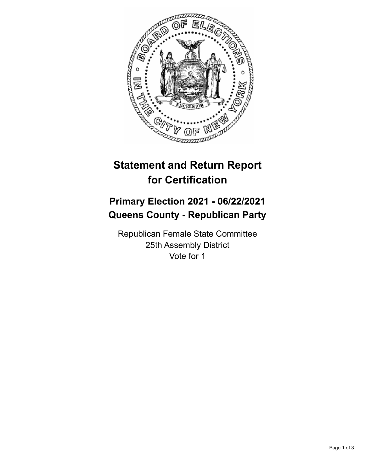

## **Statement and Return Report for Certification**

## **Primary Election 2021 - 06/22/2021 Queens County - Republican Party**

Republican Female State Committee 25th Assembly District Vote for 1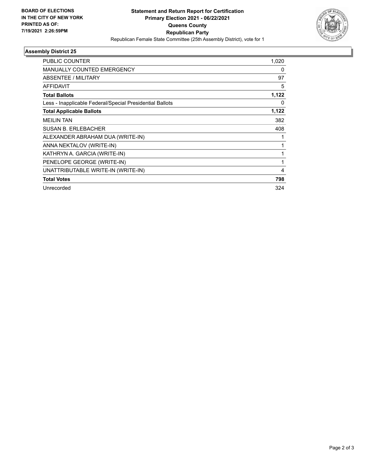

## **Assembly District 25**

| <b>PUBLIC COUNTER</b>                                    | 1,020 |
|----------------------------------------------------------|-------|
| <b>MANUALLY COUNTED EMERGENCY</b>                        | 0     |
| ABSENTEE / MILITARY                                      | 97    |
| <b>AFFIDAVIT</b>                                         | 5     |
| <b>Total Ballots</b>                                     | 1,122 |
| Less - Inapplicable Federal/Special Presidential Ballots | 0     |
| <b>Total Applicable Ballots</b>                          | 1,122 |
| <b>MEILIN TAN</b>                                        | 382   |
| <b>SUSAN B. ERLEBACHER</b>                               | 408   |
| ALEXANDER ABRAHAM DUA (WRITE-IN)                         |       |
| ANNA NEKTALOV (WRITE-IN)                                 | 1     |
| KATHRYN A. GARCIA (WRITE-IN)                             | 1     |
| PENELOPE GEORGE (WRITE-IN)                               | 1     |
| UNATTRIBUTABLE WRITE-IN (WRITE-IN)                       | 4     |
| <b>Total Votes</b>                                       | 798   |
| Unrecorded                                               | 324   |